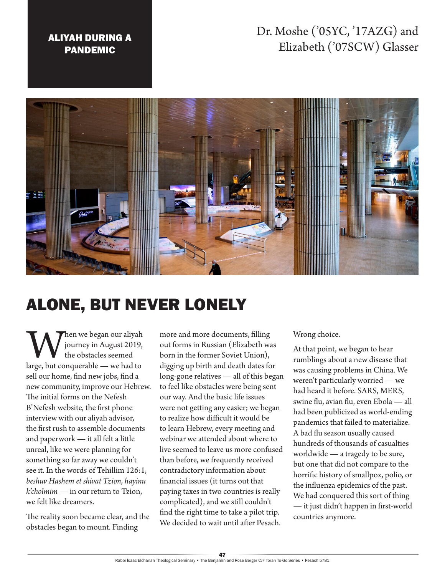## ALIYAH DURING A PANDEMIC

## Dr. Moshe ('05YC, '17AZG) and Elizabeth ('07SCW) Glasser



## ALONE, BUT NEVER LONELY

When we began our aliyah<br>the obstacles seemed<br>large, but conquerable — we had to journey in August 2019, the obstacles seemed sell our home, find new jobs, find a new community, improve our Hebrew. The initial forms on the Nefesh B'Nefesh website, the first phone interview with our aliyah advisor, the first rush to assemble documents and paperwork — it all felt a little unreal, like we were planning for something so far away we couldn't see it. In the words of Tehillim 126:1, *beshuv Hashem et shivat Tzion, hayinu k'cholmim* — in our return to Tzion, we felt like dreamers.

The reality soon became clear, and the obstacles began to mount. Finding

more and more documents, filling out forms in Russian (Elizabeth was born in the former Soviet Union), digging up birth and death dates for long-gone relatives — all of this began to feel like obstacles were being sent our way. And the basic life issues were not getting any easier; we began to realize how difficult it would be to learn Hebrew, every meeting and webinar we attended about where to live seemed to leave us more confused than before, we frequently received contradictory information about financial issues (it turns out that paying taxes in two countries is really complicated), and we still couldn't find the right time to take a pilot trip. We decided to wait until after Pesach.

Wrong choice.

At that point, we began to hear rumblings about a new disease that was causing problems in China. We weren't particularly worried — we had heard it before. SARS, MERS, swine flu, avian flu, even Ebola — all had been publicized as world-ending pandemics that failed to materialize. A bad flu season usually caused hundreds of thousands of casualties worldwide — a tragedy to be sure, but one that did not compare to the horrific history of smallpox, polio, or the influenza epidemics of the past. We had conquered this sort of thing — it just didn't happen in first-world countries anymore.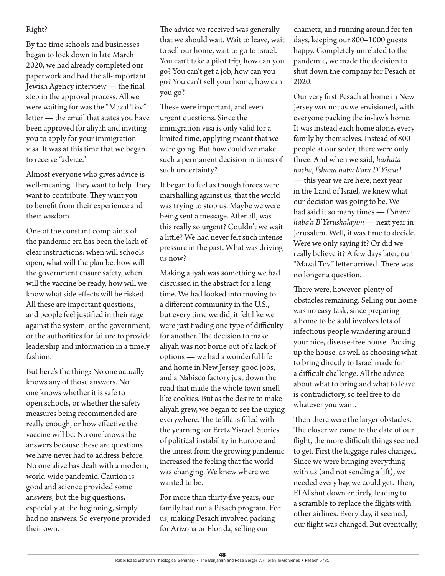## Right?

By the time schools and businesses began to lock down in late March 2020, we had already completed our paperwork and had the all-important Jewish Agency interview — the final step in the approval process. All we were waiting for was the "Mazal Tov" letter — the email that states you have been approved for aliyah and inviting you to apply for your immigration visa. It was at this time that we began to receive "advice."

Almost everyone who gives advice is well-meaning. They want to help. They want to contribute. They want you to benefit from their experience and their wisdom.

One of the constant complaints of the pandemic era has been the lack of clear instructions: when will schools open, what will the plan be, how will the government ensure safety, when will the vaccine be ready, how will we know what side effects will be risked. All these are important questions, and people feel justified in their rage against the system, or the government, or the authorities for failure to provide leadership and information in a timely fashion.

But here's the thing: No one actually knows any of those answers. No one knows whether it is safe to open schools, or whether the safety measures being recommended are really enough, or how effective the vaccine will be. No one knows the answers because these are questions we have never had to address before. No one alive has dealt with a modern, world-wide pandemic. Caution is good and science provided some answers, but the big questions, especially at the beginning, simply had no answers. So everyone provided their own.

The advice we received was generally that we should wait. Wait to leave, wait to sell our home, wait to go to Israel. You can't take a pilot trip, how can you go? You can't get a job, how can you go? You can't sell your home, how can you go?

These were important, and even urgent questions. Since the immigration visa is only valid for a limited time, applying meant that we were going. But how could we make such a permanent decision in times of such uncertainty?

It began to feel as though forces were marshalling against us, that the world was trying to stop us. Maybe we were being sent a message. After all, was this really so urgent? Couldn't we wait a little? We had never felt such intense pressure in the past. What was driving us now?

Making aliyah was something we had discussed in the abstract for a long time. We had looked into moving to a different community in the U.S., but every time we did, it felt like we were just trading one type of difficulty for another. The decision to make aliyah was not borne out of a lack of options — we had a wonderful life and home in New Jersey, good jobs, and a Nabisco factory just down the road that made the whole town smell like cookies. But as the desire to make aliyah grew, we began to see the urging everywhere. The tefilla is filled with the yearning for Eretz Yisrael. Stories of political instability in Europe and the unrest from the growing pandemic increased the feeling that the world was changing. We knew where we wanted to be.

For more than thirty-five years, our family had run a Pesach program. For us, making Pesach involved packing for Arizona or Florida, selling our

chametz, and running around for ten days, keeping our 800–1000 guests happy. Completely unrelated to the pandemic, we made the decision to shut down the company for Pesach of 2020.

Our very first Pesach at home in New Jersey was not as we envisioned, with everyone packing the in-law's home. It was instead each home alone, every family by themselves. Instead of 800 people at our seder, there were only three. And when we said, *hashata hacha, l'shana haba b'ara D'Yisrael* — this year we are here, next year in the Land of Israel, we knew what our decision was going to be. We had said it so many times — *l'Shana haba'a B'Yerushalayim* — next year in Jerusalem. Well, it was time to decide. Were we only saying it? Or did we really believe it? A few days later, our "Mazal Tov" letter arrived. There was no longer a question.

There were, however, plenty of obstacles remaining. Selling our home was no easy task, since preparing a home to be sold involves lots of infectious people wandering around your nice, disease-free house. Packing up the house, as well as choosing what to bring directly to Israel made for a difficult challenge. All the advice about what to bring and what to leave is contradictory, so feel free to do whatever you want.

Then there were the larger obstacles. The closer we came to the date of our flight, the more difficult things seemed to get. First the luggage rules changed. Since we were bringing everything with us (and not sending a lift), we needed every bag we could get. Then, El Al shut down entirely, leading to a scramble to replace the flights with other airlines. Every day, it seemed, our flight was changed. But eventually,